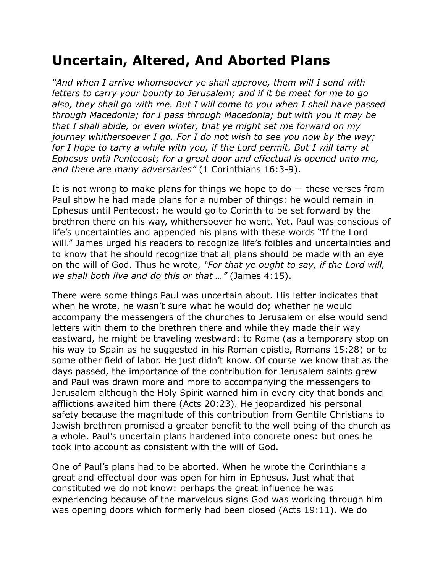## **Uncertain, Altered, And Aborted Plans**

*"And when I arrive whomsoever ye shall approve, them will I send with letters to carry your bounty to Jerusalem; and if it be meet for me to go also, they shall go with me. But I will come to you when I shall have passed through Macedonia; for I pass through Macedonia; but with you it may be that I shall abide, or even winter, that ye might set me forward on my journey whithersoever I go. For I do not wish to see you now by the way;*  for I hope to tarry a while with you, if the Lord permit. But I will tarry at *Ephesus until Pentecost; for a great door and effectual is opened unto me, and there are many adversaries"* (1 Corinthians 16:3-9).

It is not wrong to make plans for things we hope to  $d_0$  – these verses from Paul show he had made plans for a number of things: he would remain in Ephesus until Pentecost; he would go to Corinth to be set forward by the brethren there on his way, whithersoever he went. Yet, Paul was conscious of life's uncertainties and appended his plans with these words "If the Lord will." James urged his readers to recognize life's foibles and uncertainties and to know that he should recognize that all plans should be made with an eye on the will of God. Thus he wrote, *"For that ye ought to say, if the Lord will, we shall both live and do this or that …"* (James 4:15).

There were some things Paul was uncertain about. His letter indicates that when he wrote, he wasn't sure what he would do; whether he would accompany the messengers of the churches to Jerusalem or else would send letters with them to the brethren there and while they made their way eastward, he might be traveling westward: to Rome (as a temporary stop on his way to Spain as he suggested in his Roman epistle, Romans 15:28) or to some other field of labor. He just didn't know. Of course we know that as the days passed, the importance of the contribution for Jerusalem saints grew and Paul was drawn more and more to accompanying the messengers to Jerusalem although the Holy Spirit warned him in every city that bonds and afflictions awaited him there (Acts 20:23). He jeopardized his personal safety because the magnitude of this contribution from Gentile Christians to Jewish brethren promised a greater benefit to the well being of the church as a whole. Paul's uncertain plans hardened into concrete ones: but ones he took into account as consistent with the will of God.

One of Paul's plans had to be aborted. When he wrote the Corinthians a great and effectual door was open for him in Ephesus. Just what that constituted we do not know: perhaps the great influence he was experiencing because of the marvelous signs God was working through him was opening doors which formerly had been closed (Acts 19:11). We do